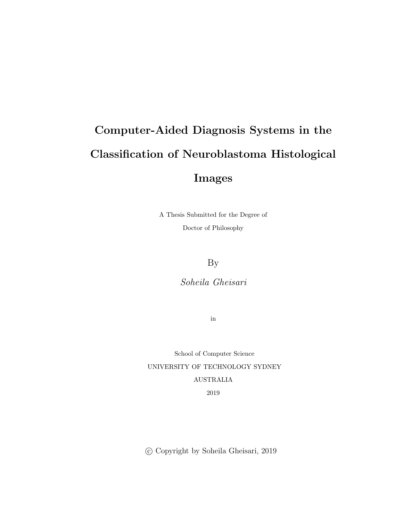# Computer-Aided Diagnosis Systems in the Classification of Neuroblastoma Histological Images

A Thesis Submitted for the Degree of Doctor of Philosophy

By

Soheila Gheisari

in

School of Computer Science UNIVERSITY OF TECHNOLOGY SYDNEY AUSTRALIA 2019

c Copyright by Soheila Gheisari, 2019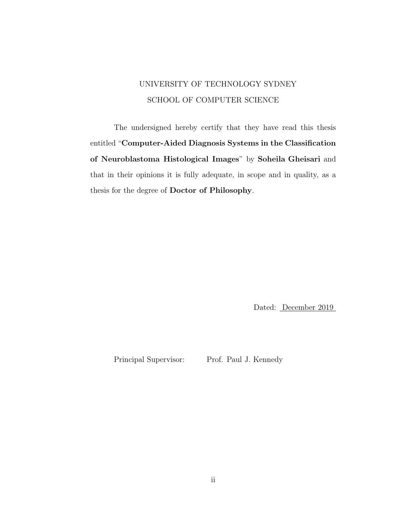### UNIVERSITY OF TECHNOLOGY SYDNEY SCHOOL OF COMPUTER SCIENCE

The undersigned hereby certify that they have read this thesis entitled "Computer-Aided Diagnosis Systems in the Classification of Neuroblastoma Histological Images" by Soheila Gheisari and that in their opinions it is fully adequate, in scope and in quality, as a thesis for the degree of Doctor of Philosophy.

Dated: December 2019

Principal Supervisor: Prof. Paul J. Kennedy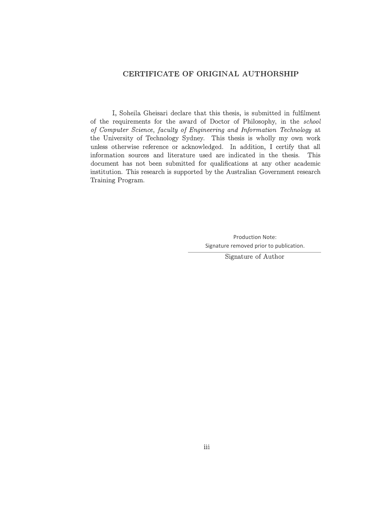#### **CERTIFICATE OF ORIGINAL AUTHORSHIP**

I, Soheila Gheisari declare that this thesis, is submitted in fulflment of the requirements for the award of Doctor of Philosophy, in the *school of Computer Science, faculty of Engineering and Information Technology* at the University of Technology Sydney. This thesis is wholly my own work unless otherwise refrence or acknowledged. In addition, I certify that all information sources and literature used are indicated in the thesis. This document has not been submitted for qualifcations at any other academic institution. This research is supported by the Australian Government research Taining Program.

> Production Note: Signature removed prior to publication.

> > Signature of Author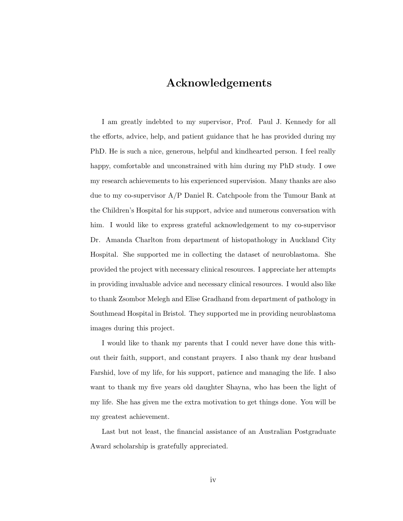#### Acknowledgements

I am greatly indebted to my supervisor, Prof. Paul J. Kennedy for all the efforts, advice, help, and patient guidance that he has provided during my PhD. He is such a nice, generous, helpful and kindhearted person. I feel really happy, comfortable and unconstrained with him during my PhD study. I owe my research achievements to his experienced supervision. Many thanks are also due to my co-supervisor A/P Daniel R. Catchpoole from the Tumour Bank at the Children's Hospital for his support, advice and numerous conversation with him. I would like to express grateful acknowledgement to my co-supervisor Dr. Amanda Charlton from department of histopathology in Auckland City Hospital. She supported me in collecting the dataset of neuroblastoma. She provided the project with necessary clinical resources. I appreciate her attempts in providing invaluable advice and necessary clinical resources. I would also like to thank Zsombor Melegh and Elise Gradhand from department of pathology in Southmead Hospital in Bristol. They supported me in providing neuroblastoma images during this project.

I would like to thank my parents that I could never have done this without their faith, support, and constant prayers. I also thank my dear husband Farshid, love of my life, for his support, patience and managing the life. I also want to thank my five years old daughter Shayna, who has been the light of my life. She has given me the extra motivation to get things done. You will be my greatest achievement.

Last but not least, the financial assistance of an Australian Postgraduate Award scholarship is gratefully appreciated.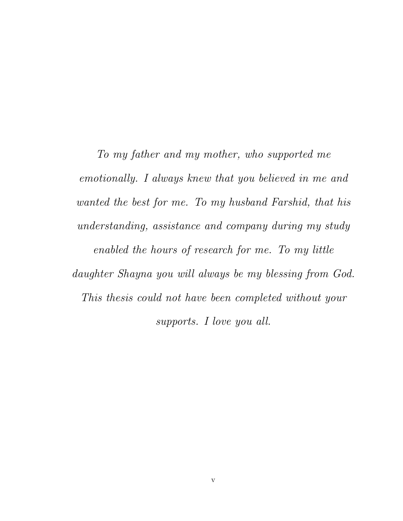To my father and my mother, who supported me emotionally. I always knew that you believed in me and wanted the best for me. To my husband Farshid, that his understanding, assistance and company during my study enabled the hours of research for me. To my little daughter Shayna you will always be my blessing from God. This thesis could not have been completed without your supports. I love you all.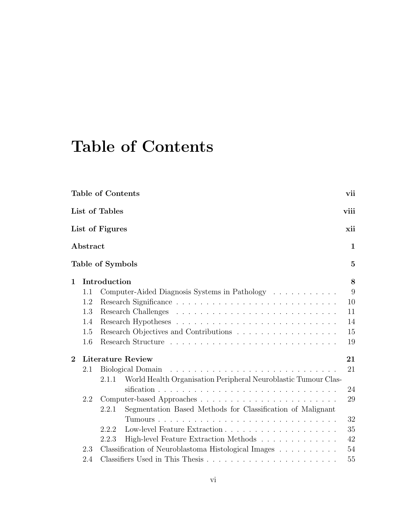## Table of Contents

|                |                  | <b>Table of Contents</b>                                                   | vii          |
|----------------|------------------|----------------------------------------------------------------------------|--------------|
|                |                  | List of Tables                                                             | viii         |
|                |                  | List of Figures                                                            | xii          |
|                | ${\bf Abstract}$ |                                                                            | 1            |
|                |                  | Table of Symbols                                                           | $\mathbf{5}$ |
| $\mathbf 1$    |                  | Introduction                                                               | 8            |
|                | 1.1              | Computer-Aided Diagnosis Systems in Pathology                              | 9            |
|                | 1.2              |                                                                            | 10           |
|                | 1.3              |                                                                            | 11           |
|                | 1.4              |                                                                            | 14           |
|                | 1.5              | Research Objectives and Contributions                                      | 15           |
|                | 1.6              |                                                                            | 19           |
| $\overline{2}$ |                  | <b>Literature Review</b>                                                   | 21           |
|                | 2.1              |                                                                            | 21           |
|                |                  | World Health Organisation Peripheral Neuroblastic Tumour Clas-<br>2.1.1    |              |
|                |                  |                                                                            | 24           |
|                | 2.2              |                                                                            | 29           |
|                |                  | Segmentation Based Methods for Classification of Malignant<br>2.2.1        |              |
|                |                  |                                                                            | 32           |
|                |                  | 2.2.2                                                                      | 35           |
|                |                  | High-level Feature Extraction Methods<br>2.2.3                             | 42           |
|                | 2.3              | Classification of Neuroblastoma Histological Images $\ldots \ldots \ldots$ | 54           |
|                | 2.4              |                                                                            | 55           |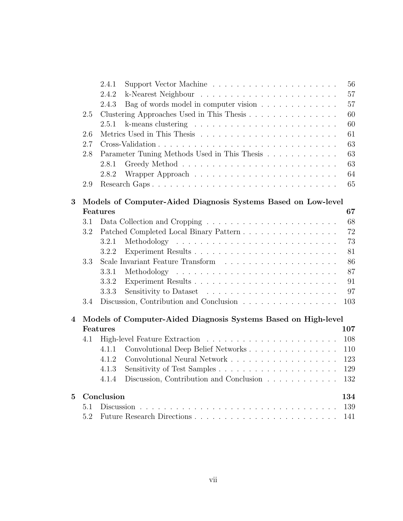|          |     | 2.4.1                                                                                                                                                                                                                                                  | 56 |
|----------|-----|--------------------------------------------------------------------------------------------------------------------------------------------------------------------------------------------------------------------------------------------------------|----|
|          |     | 2.4.2                                                                                                                                                                                                                                                  | 57 |
|          |     | 2.4.3<br>Bag of words model in computer vision                                                                                                                                                                                                         | 57 |
|          | 2.5 | Clustering Approaches Used in This Thesis                                                                                                                                                                                                              | 60 |
|          |     | 2.5.1<br>k-means clustering $\ldots \ldots \ldots \ldots \ldots \ldots \ldots$                                                                                                                                                                         | 60 |
|          | 2.6 |                                                                                                                                                                                                                                                        | 61 |
|          | 2.7 |                                                                                                                                                                                                                                                        | 63 |
|          | 2.8 | Parameter Tuning Methods Used in This Thesis                                                                                                                                                                                                           | 63 |
|          |     | 2.8.1                                                                                                                                                                                                                                                  | 63 |
|          |     | 2.8.2                                                                                                                                                                                                                                                  | 64 |
|          | 2.9 |                                                                                                                                                                                                                                                        | 65 |
| 3        |     | Models of Computer-Aided Diagnosis Systems Based on Low-level                                                                                                                                                                                          |    |
|          |     | Features<br>67                                                                                                                                                                                                                                         |    |
|          | 3.1 |                                                                                                                                                                                                                                                        | 68 |
|          | 3.2 | Patched Completed Local Binary Pattern                                                                                                                                                                                                                 | 72 |
|          |     | 3.2.1                                                                                                                                                                                                                                                  | 73 |
|          |     | 3.2.2                                                                                                                                                                                                                                                  | 81 |
|          | 3.3 |                                                                                                                                                                                                                                                        | 86 |
|          |     | 3.3.1<br>Methodology<br>and the contract of the contract of the contract of the contract of the contract of the contract of the contract of the contract of the contract of the contract of the contract of the contract of the contract of the contra | 87 |
|          |     | 3.3.2                                                                                                                                                                                                                                                  | 91 |
|          |     | 3.3.3                                                                                                                                                                                                                                                  | 97 |
|          | 3.4 | Discussion, Contribution and Conclusion<br>103                                                                                                                                                                                                         |    |
| 4        |     | Models of Computer-Aided Diagnosis Systems Based on High-level                                                                                                                                                                                         |    |
|          |     | Features<br>107                                                                                                                                                                                                                                        |    |
|          | 4.1 | 108                                                                                                                                                                                                                                                    |    |
|          |     | 4.1.1<br>110                                                                                                                                                                                                                                           |    |
|          |     | 4.1.2<br>123                                                                                                                                                                                                                                           |    |
|          |     | 4.1.3<br>129                                                                                                                                                                                                                                           |    |
|          |     | Discussion, Contribution and Conclusion $\ldots \ldots \ldots \ldots$<br>132<br>4.1.4                                                                                                                                                                  |    |
| $\bf{5}$ |     | Conclusion<br>134                                                                                                                                                                                                                                      |    |
|          | 5.1 | 139                                                                                                                                                                                                                                                    |    |
|          | 5.2 | 141                                                                                                                                                                                                                                                    |    |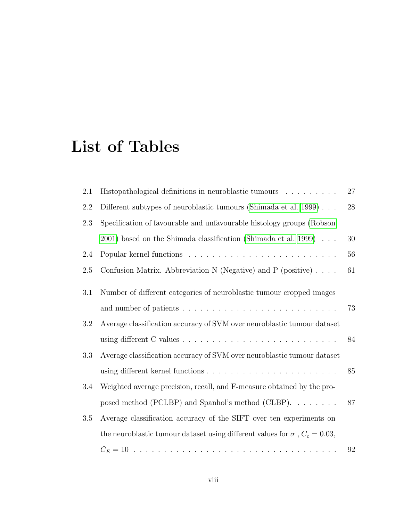## List of Tables

| 2.1 | Histopathological definitions in neuroblastic tumours                                | 27 |
|-----|--------------------------------------------------------------------------------------|----|
| 2.2 | Different subtypes of neuroblastic tumours (Shimada et al. 1999)                     | 28 |
| 2.3 | Specification of favourable and unfavourable histology groups (Robson                |    |
|     | $2001$ ) based on the Shimada classification (Shimada et al. 1999)                   | 30 |
| 2.4 |                                                                                      | 56 |
| 2.5 | Confusion Matrix. Abbreviation N (Negative) and P (positive) $\ldots$ .              | 61 |
| 3.1 | Number of different categories of neuroblastic tumour cropped images                 |    |
|     |                                                                                      | 73 |
| 3.2 | Average classification accuracy of SVM over neuroblastic tumour dataset              |    |
|     |                                                                                      | 84 |
| 3.3 | Average classification accuracy of SVM over neuroblastic tumour dataset              |    |
|     |                                                                                      | 85 |
| 3.4 | Weighted average precision, recall, and F-measure obtained by the pro-               |    |
|     | posed method (PCLBP) and Spanhol's method (CLBP). $\dots \dots$                      | 87 |
| 3.5 | Average classification accuracy of the SIFT over ten experiments on                  |    |
|     | the neuroblastic tumour dataset using different values for $\sigma$ , $C_c = 0.03$ , |    |
|     |                                                                                      | 92 |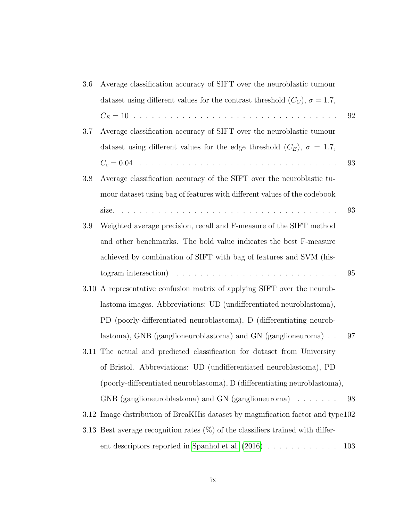| 3.6     | Average classification accuracy of SIFT over the neuroblastic tumour                         |     |
|---------|----------------------------------------------------------------------------------------------|-----|
|         | dataset using different values for the contrast threshold $(C_C)$ , $\sigma = 1.7$ ,         |     |
|         |                                                                                              | 92  |
| 3.7     | Average classification accuracy of SIFT over the neuroblastic tumour                         |     |
|         | dataset using different values for the edge threshold $(C_E)$ , $\sigma = 1.7$ ,             |     |
|         | $C_c = 0.04$                                                                                 | 93  |
| $3.8\,$ | Average classification accuracy of the SIFT over the neuroblastic tu-                        |     |
|         | mour dataset using bag of features with different values of the codebook                     |     |
|         |                                                                                              | 93  |
| $3.9\,$ | Weighted average precision, recall and F-measure of the SIFT method                          |     |
|         | and other benchmarks. The bold value indicates the best F-measure                            |     |
|         | achieved by combination of SIFT with bag of features and SVM (his-                           |     |
|         | togram intersection) $\ldots \ldots \ldots \ldots \ldots \ldots \ldots \ldots \ldots \ldots$ | 95  |
|         | 3.10 A representative confusion matrix of applying SIFT over the neurob-                     |     |
|         | lastoma images. Abbreviations: UD (undifferentiated neuroblastoma),                          |     |
|         | PD (poorly-differentiated neuroblastoma), D (differentiating neurob-                         |     |
|         | lastoma), GNB (ganglioneuroblastoma) and GN (ganglioneuroma)                                 | 97  |
|         | 3.11 The actual and predicted classification for dataset from University                     |     |
|         | of Bristol. Abbreviations: UD (undifferentiated neuroblastoma), PD                           |     |
|         | (poorly-differentiated neuroblastoma), D (differentiating neuroblastoma),                    |     |
|         | $GNB$ (ganglioneuroblastoma) and $GN$ (ganglioneuroma) $\ldots \ldots$                       | 98  |
|         | 3.12 Image distribution of BreaKH is dataset by magnification factor and type 102            |     |
|         | 3.13 Best average recognition rates $(\%)$ of the classifiers trained with differ-           |     |
|         | ent descriptors reported in Spanhol et al. $(2016)$                                          | 103 |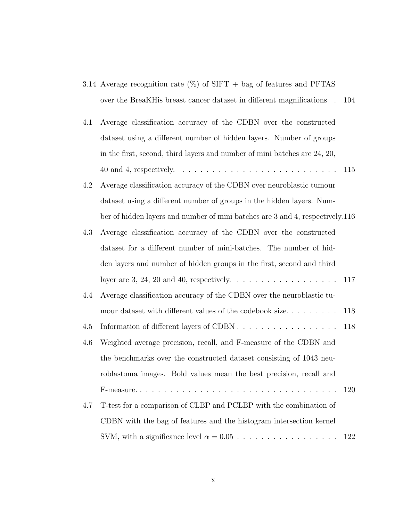|  | 3.14 Average recognition rate $(\%)$ of SIFT + bag of features and PFTAS   |  |  |  |  |
|--|----------------------------------------------------------------------------|--|--|--|--|
|  | over the BreaKH is breast cancer dataset in different magnifications . 104 |  |  |  |  |

| 4.1 Average classification accuracy of the CDBN over the constructed      |  |
|---------------------------------------------------------------------------|--|
| dataset using a different number of hidden layers. Number of groups       |  |
| in the first, second, third layers and number of mini batches are 24, 20, |  |
|                                                                           |  |

- 4.2 Average classification accuracy of the CDBN over neuroblastic tumour dataset using a different number of groups in the hidden layers. Number of hidden layers and number of mini batches are 3 and 4, respectively.116
- 4.3 Average classification accuracy of the CDBN over the constructed dataset for a different number of mini-batches. The number of hidden layers and number of hidden groups in the first, second and third layer are 3, 24, 20 and 40, respectively. . . . . . . . . . . . . . . . . . 117
- 4.4 Average classification accuracy of the CDBN over the neuroblastic tumour dataset with different values of the codebook size........ 118
- 4.5 Information of different layers of CDBN . . . . . . . . . . . . . . . . . 118 4.6 Weighted average precision, recall, and F-measure of the CDBN and the benchmarks over the constructed dataset consisting of 1043 neuroblastoma images. Bold values mean the best precision, recall and F-measure. . . . . . . . . . . . . . . . . . . . . . . . . . . . . . . . . . 120 4.7 T-test for a comparison of CLBP and PCLBP with the combination of
	- CDBN with the bag of features and the histogram intersection kernel SVM, with a significance level α = 0.05 . . . . . . . . . . . . . . . . . 122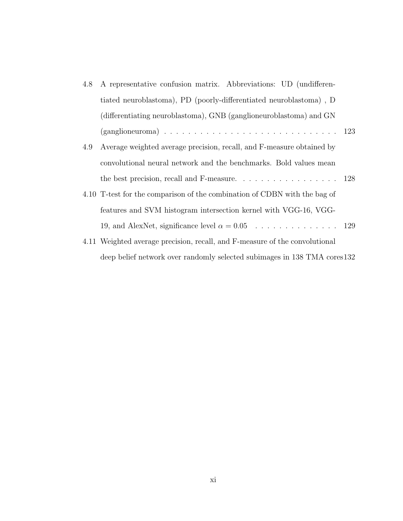| 4.8 | A representative confusion matrix. Abbreviations: UD (undifferen-                         |  |
|-----|-------------------------------------------------------------------------------------------|--|
|     | tiated neuroblastoma), PD (poorly-differentiated neuroblastoma), D                        |  |
|     | (differentiating neuroblastoma), GNB (ganglioneuroblastoma) and GN                        |  |
|     |                                                                                           |  |
| 4.9 | Average weighted average precision, recall, and F-measure obtained by                     |  |
|     | convolutional neural network and the benchmarks. Bold values mean                         |  |
|     | the best precision, recall and F-measure. $\ldots \ldots \ldots \ldots \ldots \ldots 128$ |  |
|     | 4.10 T-test for the comparison of the combination of CDBN with the bag of                 |  |
|     | features and SVM histogram intersection kernel with VGG-16, VGG-                          |  |
|     |                                                                                           |  |
|     | 4.11 Weighted average precision, recall, and F-measure of the convolutional               |  |
|     | deep belief network over randomly selected subimages in 138 TMA cores 132                 |  |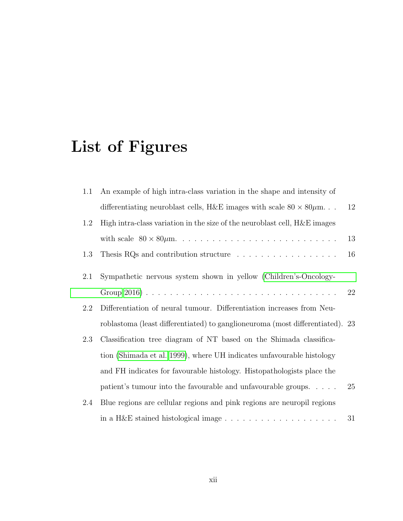# List of Figures

| 1.1     | An example of high intra-class variation in the shape and intensity of         |    |
|---------|--------------------------------------------------------------------------------|----|
|         | differentiating neuroblast cells, H&E images with scale $80 \times 80 \mu m$   | 12 |
| $1.2\,$ | High intra-class variation in the size of the neuroblast cell, $H \& E$ images |    |
|         |                                                                                | 13 |
| 1.3     | Thesis RQs and contribution structure $\ldots \ldots \ldots \ldots \ldots$     | 16 |
| 2.1     | Sympathetic nervous system shown in yellow (Children's-Oncology-               |    |
|         |                                                                                | 22 |
| 2.2     | Differentiation of neural tumour. Differentiation increases from Neu-          |    |
|         | roblastoma (least differentiated) to ganglione uroma (most differentiated). 23 |    |
| 2.3     | Classification tree diagram of NT based on the Shimada classifica-             |    |
|         | tion (Shimada et al. 1999), where UH indicates unfavourable histology          |    |
|         | and FH indicates for favourable histology. Histopathologists place the         |    |
|         | patient's tumour into the favourable and unfavourable groups. $\dots$ .        | 25 |
| 2.4     | Blue regions are cellular regions and pink regions are neuropil regions        |    |
|         |                                                                                | 31 |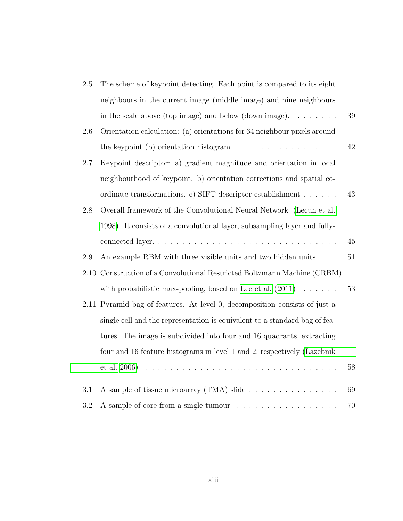| $2.5\,$ | The scheme of keypoint detecting. Each point is compared to its eight         |        |
|---------|-------------------------------------------------------------------------------|--------|
|         | neighbours in the current image (middle image) and nine neighbours            |        |
|         | in the scale above (top image) and below (down image). $\dots \dots$          | 39     |
| 2.6     | Orientation calculation: (a) orientations for 64 neighbour pixels around      |        |
|         | the keypoint $(b)$ orientation histogram $\ldots \ldots \ldots \ldots \ldots$ | 42     |
| 2.7     | Keypoint descriptor: a) gradient magnitude and orientation in local           |        |
|         | neighbourhood of keypoint. b) orientation corrections and spatial co-         |        |
|         | ordinate transformations. c) SIFT descriptor establishment                    | 43     |
| $2.8\,$ | Overall framework of the Convolutional Neural Network (Lecun et al.           |        |
|         | 1998). It consists of a convolutional layer, subsampling layer and fully-     |        |
|         |                                                                               | 45     |
| 2.9     | An example RBM with three visible units and two hidden units                  | $51\,$ |
|         | 2.10 Construction of a Convolutional Restricted Boltzmann Machine (CRBM)      |        |
|         | with probabilistic max-pooling, based on Lee et al. $(2011) \ldots \ldots$    | 53     |
|         | 2.11 Pyramid bag of features. At level 0, decomposition consists of just a    |        |
|         | single cell and the representation is equivalent to a standard bag of fea-    |        |
|         | tures. The image is subdivided into four and 16 quadrants, extracting         |        |
|         | four and 16 feature histograms in level 1 and 2, respectively (Lazebnik       |        |
|         | et al. 2006)                                                                  | 58     |
| 3.1     | A sample of tissue microarray (TMA) slide                                     | 69     |
| 3.2     | A sample of core from a single tumour                                         | 70     |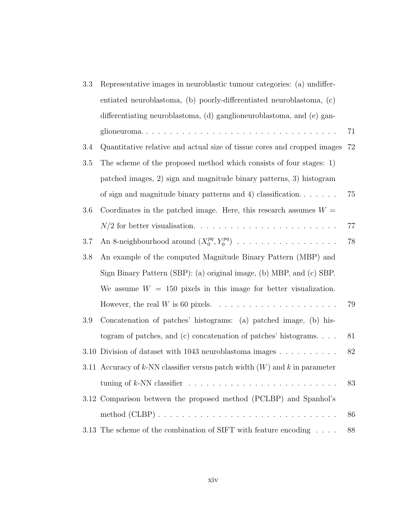| 3.3     | Representative images in neuroblastic tumour categories: (a) undiffer-       |    |
|---------|------------------------------------------------------------------------------|----|
|         | entiated neuroblastoma, (b) poorly-differentiated neuroblastoma, (c)         |    |
|         | differentiating neuroblastoma, (d) ganglioneuroblastoma, and (e) gan-        |    |
|         | glioneuroma                                                                  | 71 |
| 3.4     | Quantitative relative and actual size of tissue cores and cropped images     | 72 |
| $3.5\,$ | The scheme of the proposed method which consists of four stages: 1)          |    |
|         | patched images, 2) sign and magnitude binary patterns, 3) histogram          |    |
|         | of sign and magnitude binary patterns and 4) classification. $\dots$         | 75 |
| 3.6     | Coordinates in the patched image. Here, this research assumes $W =$          |    |
|         |                                                                              | 77 |
| 3.7     | An 8-neighbourhood around $(X_0^{pq}, Y_0^{pq})$                             | 78 |
| $3.8\,$ | An example of the computed Magnitude Binary Pattern (MBP) and                |    |
|         | Sign Binary Pattern (SBP): (a) original image, (b) MBP, and (c) SBP.         |    |
|         | We assume $W = 150$ pixels in this image for better visualization.           |    |
|         |                                                                              | 79 |
| 3.9     | Concatenation of patches' histograms: (a) patched image, (b) his-            |    |
|         | togram of patches, and (c) concatenation of patches' histograms. $\ldots$ .  | 81 |
| 3.10    | Division of dataset with $1043$ neuroblastoma images $\dots \dots \dots$     | 82 |
|         | 3.11 Accuracy of k-NN classifier versus patch width $(W)$ and k in parameter |    |
|         |                                                                              | 83 |
|         | 3.12 Comparison between the proposed method (PCLBP) and Spanhol's            |    |
|         |                                                                              | 86 |
|         | 3.13 The scheme of the combination of SIFT with feature encoding $\ldots$ .  | 88 |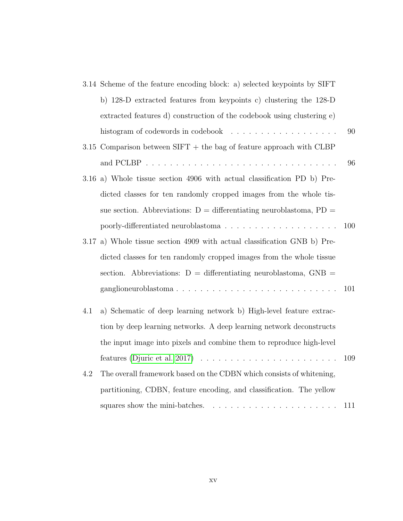|     | 3.14 Scheme of the feature encoding block: a) selected keypoints by SIFT            |     |
|-----|-------------------------------------------------------------------------------------|-----|
|     | b) 128-D extracted features from keypoints c) clustering the 128-D                  |     |
|     | extracted features d) construction of the codebook using clustering e)              |     |
| 90  | histogram of codewords in codebook $\ldots \ldots \ldots \ldots \ldots$             |     |
|     | 3.15 Comparison between $SIFT$ + the bag of feature approach with CLBP              |     |
| 96  |                                                                                     |     |
|     | 3.16 a) Whole tissue section 4906 with actual classification PD b) Pre-             |     |
|     | dicted classes for ten randomly cropped images from the whole tis-                  |     |
|     | sue section. Abbreviations: $D =$ differentiating neuroblastoma, $PD =$             |     |
| 100 |                                                                                     |     |
|     | 3.17 a) Whole tissue section 4909 with actual classification GNB b) Pre-            |     |
|     | dicted classes for ten randomly cropped images from the whole tissue                |     |
|     | section. Abbreviations: $D =$ differentiating neuroblastoma, $GNB =$                |     |
| 101 | ganglioneuroblastoma                                                                |     |
|     | a) Schematic of deep learning network b) High-level feature extrac-                 | 4.1 |
|     | tion by deep learning networks. A deep learning network deconstructs                |     |
|     | the input image into pixels and combine them to reproduce high-level                |     |
| 109 | features (Djuric et al. 2017) $\ldots \ldots \ldots \ldots \ldots \ldots \ldots$    |     |
|     | The overall framework based on the CDBN which consists of whitening,                | 4.2 |
|     | partitioning, CDBN, feature encoding, and classification. The yellow                |     |
| 111 | squares show the mini-batches.<br>and a complete complete the complete complete the |     |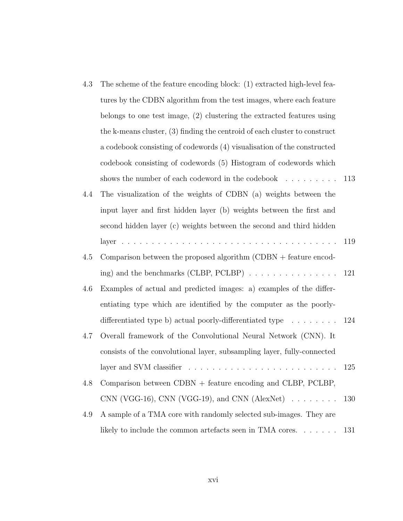| 4.3 | The scheme of the feature encoding block: (1) extracted high-level fea-      |     |
|-----|------------------------------------------------------------------------------|-----|
|     | tures by the CDBN algorithm from the test images, where each feature         |     |
|     | belongs to one test image, $(2)$ clustering the extracted features using     |     |
|     | the k-means cluster, $(3)$ finding the centroid of each cluster to construct |     |
|     | a codebook consisting of codewords (4) visualisation of the constructed      |     |
|     | codebook consisting of codewords (5) Histogram of codewords which            |     |
|     | shows the number of each codeword in the codebook $\dots \dots$              | 113 |
| 4.4 | The visualization of the weights of CDBN (a) weights between the             |     |
|     | input layer and first hidden layer (b) weights between the first and         |     |
|     | second hidden layer (c) weights between the second and third hidden          |     |
|     |                                                                              | 119 |
| 4.5 | Comparison between the proposed algorithm $(CDBN + \text{feature encode} -$  |     |
|     | ing) and the benchmarks (CLBP, PCLBP) $\ldots \ldots \ldots \ldots \ldots$   | 121 |
| 4.6 | Examples of actual and predicted images: a) examples of the differ-          |     |
|     | entiating type which are identified by the computer as the poorly-           |     |
|     | differentiated type b) actual poorly-differentiated type $\dots \dots$       | 124 |
| 4.7 | Overall framework of the Convolutional Neural Network (CNN). It              |     |
|     | consists of the convolutional layer, subsampling layer, fully-connected      |     |
|     |                                                                              | 125 |
| 4.8 | Comparison between $CDBN +$ feature encoding and $CLBP$ , $PCLBP$ ,          |     |
|     | CNN (VGG-16), CNN (VGG-19), and CNN (AlexNet) $\ldots \ldots$                | 130 |
| 4.9 | A sample of a TMA core with randomly selected sub-images. They are           |     |
|     | likely to include the common artefacts seen in TMA cores. $\dots \dots$      | 131 |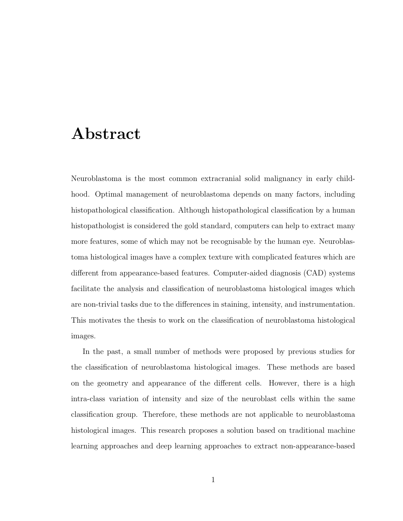### Abstract

Neuroblastoma is the most common extracranial solid malignancy in early childhood. Optimal management of neuroblastoma depends on many factors, including histopathological classification. Although histopathological classification by a human histopathologist is considered the gold standard, computers can help to extract many more features, some of which may not be recognisable by the human eye. Neuroblastoma histological images have a complex texture with complicated features which are different from appearance-based features. Computer-aided diagnosis (CAD) systems facilitate the analysis and classification of neuroblastoma histological images which are non-trivial tasks due to the differences in staining, intensity, and instrumentation. This motivates the thesis to work on the classification of neuroblastoma histological images.

In the past, a small number of methods were proposed by previous studies for the classification of neuroblastoma histological images. These methods are based on the geometry and appearance of the different cells. However, there is a high intra-class variation of intensity and size of the neuroblast cells within the same classification group. Therefore, these methods are not applicable to neuroblastoma histological images. This research proposes a solution based on traditional machine learning approaches and deep learning approaches to extract non-appearance-based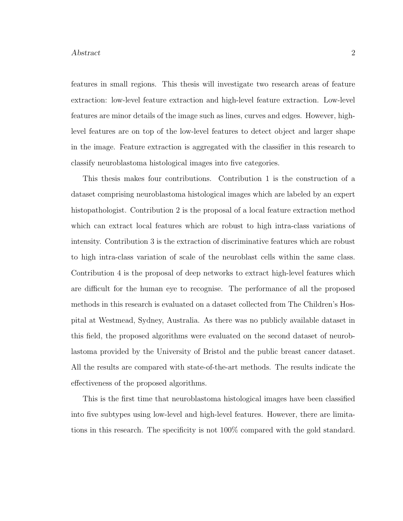#### Abstract 2

features in small regions. This thesis will investigate two research areas of feature extraction: low-level feature extraction and high-level feature extraction. Low-level features are minor details of the image such as lines, curves and edges. However, highlevel features are on top of the low-level features to detect object and larger shape in the image. Feature extraction is aggregated with the classifier in this research to classify neuroblastoma histological images into five categories.

This thesis makes four contributions. Contribution 1 is the construction of a dataset comprising neuroblastoma histological images which are labeled by an expert histopathologist. Contribution 2 is the proposal of a local feature extraction method which can extract local features which are robust to high intra-class variations of intensity. Contribution 3 is the extraction of discriminative features which are robust to high intra-class variation of scale of the neuroblast cells within the same class. Contribution 4 is the proposal of deep networks to extract high-level features which are difficult for the human eye to recognise. The performance of all the proposed methods in this research is evaluated on a dataset collected from The Children's Hospital at Westmead, Sydney, Australia. As there was no publicly available dataset in this field, the proposed algorithms were evaluated on the second dataset of neuroblastoma provided by the University of Bristol and the public breast cancer dataset. All the results are compared with state-of-the-art methods. The results indicate the effectiveness of the proposed algorithms.

This is the first time that neuroblastoma histological images have been classified into five subtypes using low-level and high-level features. However, there are limitations in this research. The specificity is not 100% compared with the gold standard.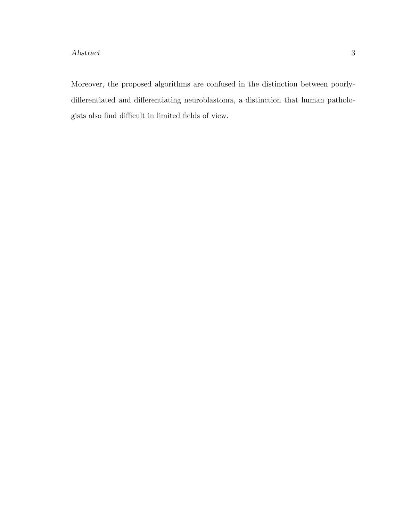#### Abstract 3

Moreover, the proposed algorithms are confused in the distinction between poorlydifferentiated and differentiating neuroblastoma, a distinction that human pathologists also find difficult in limited fields of view.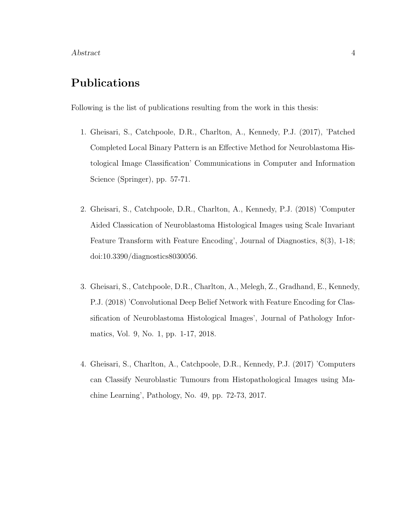#### Publications

Following is the list of publications resulting from the work in this thesis:

- 1. Gheisari, S., Catchpoole, D.R., Charlton, A., Kennedy, P.J. (2017), 'Patched Completed Local Binary Pattern is an Effective Method for Neuroblastoma Histological Image Classification' Communications in Computer and Information Science (Springer), pp. 57-71.
- 2. Gheisari, S., Catchpoole, D.R., Charlton, A., Kennedy, P.J. (2018) 'Computer Aided Classication of Neuroblastoma Histological Images using Scale Invariant Feature Transform with Feature Encoding', Journal of Diagnostics, 8(3), 1-18; doi:10.3390/diagnostics8030056.
- 3. Gheisari, S., Catchpoole, D.R., Charlton, A., Melegh, Z., Gradhand, E., Kennedy, P.J. (2018) 'Convolutional Deep Belief Network with Feature Encoding for Classification of Neuroblastoma Histological Images', Journal of Pathology Informatics, Vol. 9, No. 1, pp. 1-17, 2018.
- 4. Gheisari, S., Charlton, A., Catchpoole, D.R., Kennedy, P.J. (2017) 'Computers can Classify Neuroblastic Tumours from Histopathological Images using Machine Learning', Pathology, No. 49, pp. 72-73, 2017.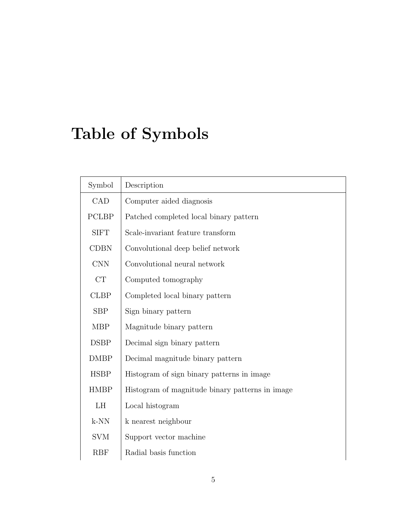# Table of Symbols

| Symbol       | Description                                     |
|--------------|-------------------------------------------------|
| CAD          | Computer aided diagnosis                        |
| <b>PCLBP</b> | Patched completed local binary pattern          |
| <b>SIFT</b>  | Scale-invariant feature transform               |
| <b>CDBN</b>  | Convolutional deep belief network               |
| <b>CNN</b>   | Convolutional neural network                    |
| CT           | Computed tomography                             |
| <b>CLBP</b>  | Completed local binary pattern                  |
| <b>SBP</b>   | Sign binary pattern                             |
| <b>MBP</b>   | Magnitude binary pattern                        |
| <b>DSBP</b>  | Decimal sign binary pattern                     |
| <b>DMBP</b>  | Decimal magnitude binary pattern                |
| <b>HSBP</b>  | Histogram of sign binary patterns in image      |
| <b>HMBP</b>  | Histogram of magnitude binary patterns in image |
| LH           | Local histogram                                 |
| $k-NN$       | k nearest neighbour                             |
| <b>SVM</b>   | Support vector machine                          |
| <b>RBF</b>   | Radial basis function                           |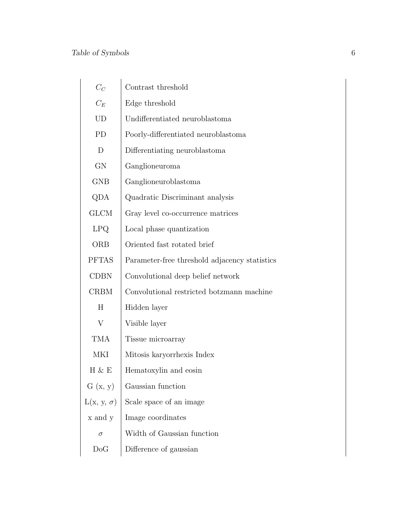| $C_C$             | Contrast threshold                            |
|-------------------|-----------------------------------------------|
| $C_E$             | Edge threshold                                |
| UD                | Undifferentiated neuroblastoma                |
| PD                | Poorly-differentiated neuroblastoma           |
| D                 | Differentiating neuroblastoma                 |
| GN                | Ganglioneuroma                                |
| GNB               | Ganglioneuroblastoma                          |
| QDA               | Quadratic Discriminant analysis               |
| <b>GLCM</b>       | Gray level co-occurrence matrices             |
| LPQ               | Local phase quantization                      |
| ORB               | Oriented fast rotated brief                   |
| <b>PFTAS</b>      | Parameter-free threshold adjacency statistics |
| <b>CDBN</b>       | Convolutional deep belief network             |
| <b>CRBM</b>       | Convolutional restricted botzmann machine     |
| Η                 | Hidden layer                                  |
| V                 | Visible layer                                 |
| TMA               | Tissue microarray                             |
| MKI               | Mitosis karyorrhexis Index                    |
| Н & E             | Hematoxylin and eosin                         |
| G(x, y)           | Gaussian function                             |
| $L(x, y, \sigma)$ | Scale space of an image                       |
| x and y           | Image coordinates                             |
| $\sigma$          | Width of Gaussian function                    |
| DoG               | Difference of gaussian                        |